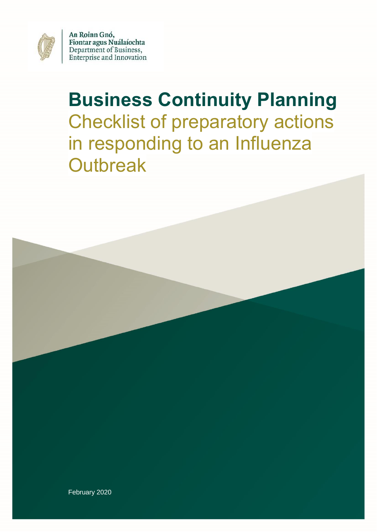

An Roinn Gnó, Fiontar agus Nuálaíochta<br>Department of Business, Enterprise and Innovation

# **Business Continuity Planning** Checklist of preparatory actions in responding to an Influenza **Outbreak**



February 2020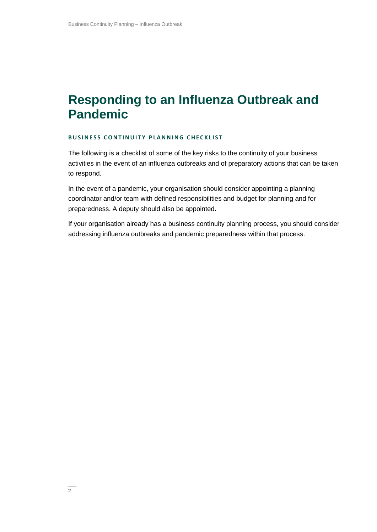#### **Responding to an Influenza Outbreak and Pandemic**

#### **BUSINESS CONTINUITY PLANNING CHECKLIST**

The following is a checklist of some of the key risks to the continuity of your business activities in the event of an influenza outbreaks and of preparatory actions that can be taken to respond.

In the event of a pandemic, your organisation should consider appointing a planning coordinator and/or team with defined responsibilities and budget for planning and for preparedness. A deputy should also be appointed.

If your organisation already has a business continuity planning process, you should consider addressing influenza outbreaks and pandemic preparedness within that process.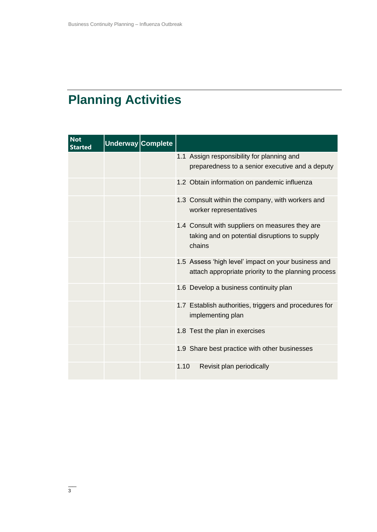# **Planning Activities**

| <b>Not</b><br><b>Started</b> | Underway Complete |                                                                                                            |
|------------------------------|-------------------|------------------------------------------------------------------------------------------------------------|
|                              |                   | 1.1 Assign responsibility for planning and<br>preparedness to a senior executive and a deputy              |
|                              |                   | 1.2 Obtain information on pandemic influenza                                                               |
|                              |                   | 1.3 Consult within the company, with workers and<br>worker representatives                                 |
|                              |                   | 1.4 Consult with suppliers on measures they are<br>taking and on potential disruptions to supply<br>chains |
|                              |                   | 1.5 Assess 'high level' impact on your business and<br>attach appropriate priority to the planning process |
|                              |                   | 1.6 Develop a business continuity plan                                                                     |
|                              |                   | 1.7 Establish authorities, triggers and procedures for<br>implementing plan                                |
|                              |                   | 1.8 Test the plan in exercises                                                                             |
|                              |                   | 1.9 Share best practice with other businesses                                                              |
|                              |                   | 1.10<br>Revisit plan periodically                                                                          |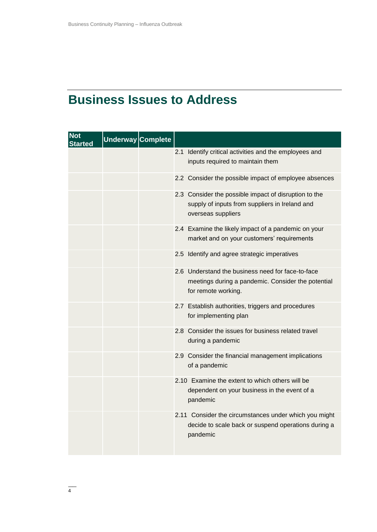## **Business Issues to Address**

| <b>Not</b><br>Started | Underway Complete |                                                                                                                                |
|-----------------------|-------------------|--------------------------------------------------------------------------------------------------------------------------------|
|                       |                   | 2.1 Identify critical activities and the employees and<br>inputs required to maintain them                                     |
|                       |                   | 2.2 Consider the possible impact of employee absences                                                                          |
|                       |                   | 2.3 Consider the possible impact of disruption to the<br>supply of inputs from suppliers in Ireland and<br>overseas suppliers  |
|                       |                   | 2.4 Examine the likely impact of a pandemic on your<br>market and on your customers' requirements                              |
|                       |                   | 2.5 Identify and agree strategic imperatives                                                                                   |
|                       |                   | 2.6 Understand the business need for face-to-face<br>meetings during a pandemic. Consider the potential<br>for remote working. |
|                       |                   | 2.7 Establish authorities, triggers and procedures<br>for implementing plan                                                    |
|                       |                   | 2.8 Consider the issues for business related travel<br>during a pandemic                                                       |
|                       |                   | 2.9 Consider the financial management implications<br>of a pandemic                                                            |
|                       |                   | 2.10 Examine the extent to which others will be<br>dependent on your business in the event of a<br>pandemic                    |
|                       |                   | 2.11 Consider the circumstances under which you might<br>decide to scale back or suspend operations during a<br>pandemic       |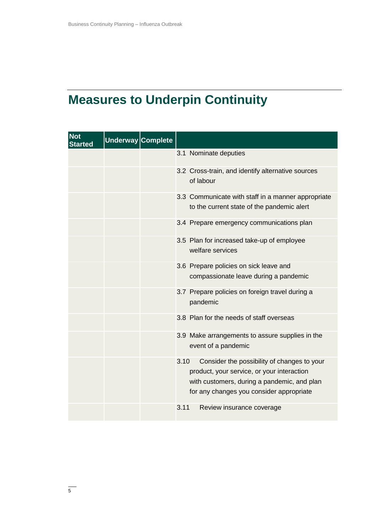# **Measures to Underpin Continuity**

| <b>Not</b><br><b>Started</b> | Underway Complete |                                                                                                                                                                                              |
|------------------------------|-------------------|----------------------------------------------------------------------------------------------------------------------------------------------------------------------------------------------|
|                              |                   | 3.1 Nominate deputies                                                                                                                                                                        |
|                              |                   | 3.2 Cross-train, and identify alternative sources<br>of labour                                                                                                                               |
|                              |                   | 3.3 Communicate with staff in a manner appropriate<br>to the current state of the pandemic alert                                                                                             |
|                              |                   | 3.4 Prepare emergency communications plan                                                                                                                                                    |
|                              |                   | 3.5 Plan for increased take-up of employee<br>welfare services                                                                                                                               |
|                              |                   | 3.6 Prepare policies on sick leave and<br>compassionate leave during a pandemic                                                                                                              |
|                              |                   | 3.7 Prepare policies on foreign travel during a<br>pandemic                                                                                                                                  |
|                              |                   | 3.8 Plan for the needs of staff overseas                                                                                                                                                     |
|                              |                   | 3.9 Make arrangements to assure supplies in the<br>event of a pandemic                                                                                                                       |
|                              |                   | 3.10<br>Consider the possibility of changes to your<br>product, your service, or your interaction<br>with customers, during a pandemic, and plan<br>for any changes you consider appropriate |
|                              |                   | 3.11<br>Review insurance coverage                                                                                                                                                            |